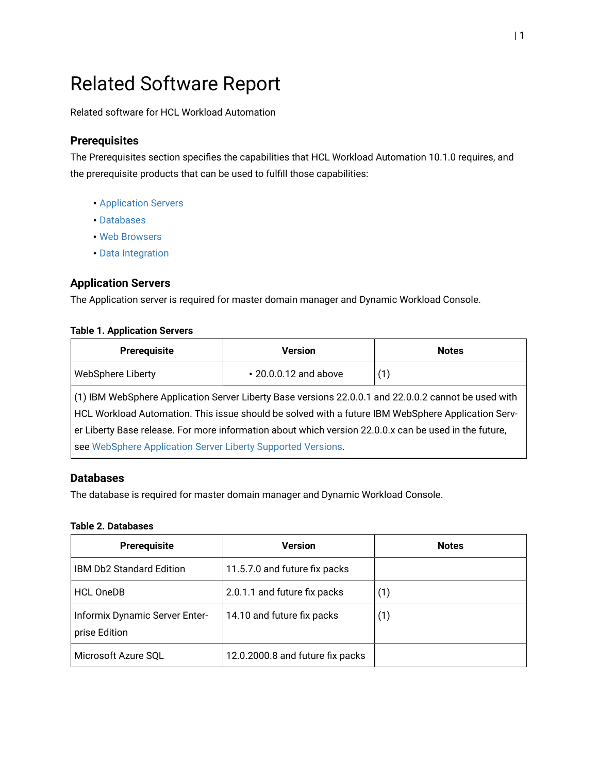# Related Software Report

Related software for HCL Workload Automation

## **Prerequisites**

The Prerequisites section specifies the capabilities that HCL Workload Automation 10.1.0 requires, and the prerequisite products that can be used to fulfill those capabilities:

- [Application](#page-0-0) Servers
- [Databases](#page-0-1)
- Web [Browsers](#page-1-0)
- Data [Integration](#page-1-1)

### <span id="page-0-0"></span>**Application Servers**

The Application server is required for master domain managerand Dynamic Workload Console.

#### **Table 1. Application Servers**

| Prerequisite                                                                                                                                                                                               | Version                     | <b>Notes</b> |  |
|------------------------------------------------------------------------------------------------------------------------------------------------------------------------------------------------------------|-----------------------------|--------------|--|
| <b>WebSphere Liberty</b>                                                                                                                                                                                   | $\cdot$ 20.0.0.12 and above | (1)          |  |
| (1) IBM WebSphere Application Server Liberty Base versions 22.0.0.1 and 22.0.0.2 cannot be used with<br>HCL Workload Automation. This issue should be solved with a future IBM WebSphere Application Serv- |                             |              |  |
| er Liberty Base release. For more information about which version 22.0.0.x can be used in the future,                                                                                                      |                             |              |  |
| see WebSphere Application Server Liberty Supported Versions.                                                                                                                                               |                             |              |  |

#### <span id="page-0-1"></span>**Databases**

The database is required for master domain managerand Dynamic Workload Console.

#### **Table 2. Databases**

| Prerequisite                                    | <b>Version</b>                   | <b>Notes</b> |
|-------------------------------------------------|----------------------------------|--------------|
| <b>IBM Db2 Standard Edition</b>                 | 11.5.7.0 and future fix packs    |              |
| <b>HCL OneDB</b>                                | 2.0.1.1 and future fix packs     | (1)          |
| Informix Dynamic Server Enter-<br>prise Edition | 14.10 and future fix packs       | (1)          |
| Microsoft Azure SQL                             | 12.0.2000.8 and future fix packs |              |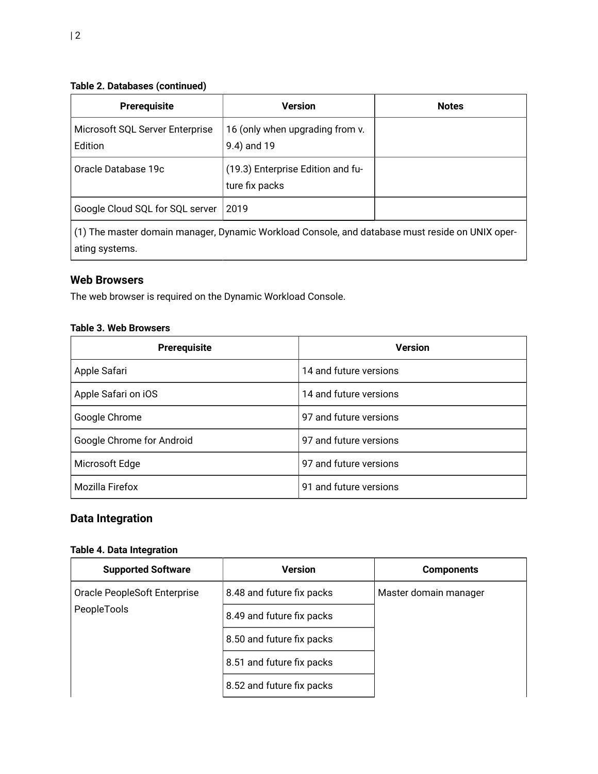### **Table 2. Databases(continued)**

| <b>Prerequisite</b>                                                                            | <b>Version</b>                                      | <b>Notes</b> |
|------------------------------------------------------------------------------------------------|-----------------------------------------------------|--------------|
| Microsoft SQL Server Enterprise<br>Edition                                                     | 16 (only when upgrading from v.<br>9.4) and 19      |              |
| Oracle Database 19c                                                                            | (19.3) Enterprise Edition and fu-<br>ture fix packs |              |
| Google Cloud SQL for SQL server                                                                | 2019                                                |              |
| (1) The master domain manager Dynamic Workload Console, and database must reside on HNIY oper- |                                                     |              |

(1) The master domain manager, Dynamic Workload Console, and database must reside on UNIX operating systems.

# <span id="page-1-0"></span>**Web Browsers**

The web browser is required on the Dynamic Workload Console.

#### **Table 3. Web Browsers**

| <b>Prerequisite</b>       | <b>Version</b>         |
|---------------------------|------------------------|
| Apple Safari              | 14 and future versions |
| Apple Safari on iOS       | 14 and future versions |
| Google Chrome             | 97 and future versions |
| Google Chrome for Android | 97 and future versions |
| Microsoft Edge            | 97 and future versions |
| Mozilla Firefox           | 91 and future versions |

# <span id="page-1-1"></span>**Data Integration**

#### **Table 4. Data Integration**

| <b>Supported Software</b>                   | <b>Version</b>            | <b>Components</b>     |
|---------------------------------------------|---------------------------|-----------------------|
| Oracle PeopleSoft Enterprise<br>PeopleTools | 8.48 and future fix packs | Master domain manager |
|                                             | 8.49 and future fix packs |                       |
|                                             | 8.50 and future fix packs |                       |
|                                             | 8.51 and future fix packs |                       |
|                                             | 8.52 and future fix packs |                       |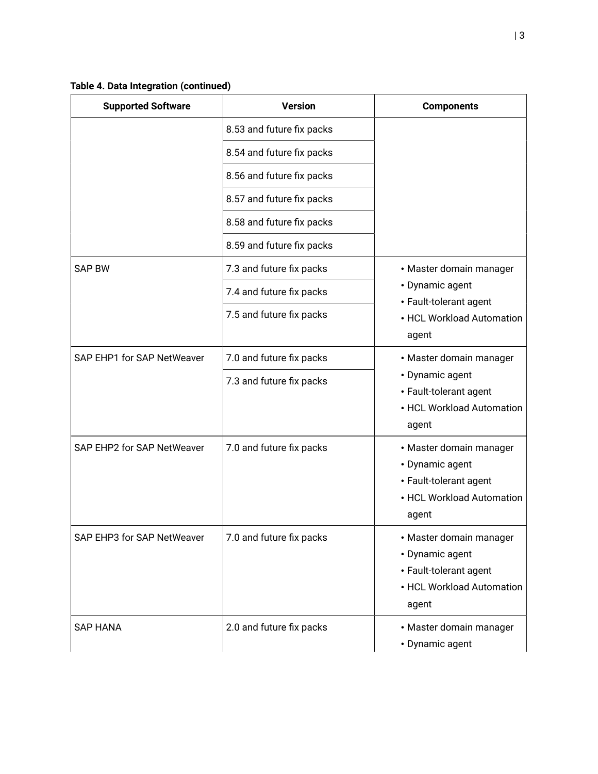| <b>Supported Software</b>  | <b>Version</b>            | <b>Components</b>                                                                                          |
|----------------------------|---------------------------|------------------------------------------------------------------------------------------------------------|
|                            | 8.53 and future fix packs |                                                                                                            |
|                            | 8.54 and future fix packs |                                                                                                            |
|                            | 8.56 and future fix packs |                                                                                                            |
|                            | 8.57 and future fix packs |                                                                                                            |
|                            | 8.58 and future fix packs |                                                                                                            |
|                            | 8.59 and future fix packs |                                                                                                            |
| <b>SAP BW</b>              | 7.3 and future fix packs  | • Master domain manager                                                                                    |
|                            | 7.4 and future fix packs  | • Dynamic agent<br>• Fault-tolerant agent                                                                  |
|                            | 7.5 and future fix packs  | • HCL Workload Automation<br>agent                                                                         |
| SAP EHP1 for SAP NetWeaver | 7.0 and future fix packs  | • Master domain manager<br>• Dynamic agent<br>• Fault-tolerant agent<br>• HCL Workload Automation<br>agent |
|                            | 7.3 and future fix packs  |                                                                                                            |
| SAP EHP2 for SAP NetWeaver | 7.0 and future fix packs  | • Master domain manager<br>• Dynamic agent<br>• Fault-tolerant agent<br>• HCL Workload Automation<br>agent |
| SAP EHP3 for SAP NetWeaver | 7.0 and future fix packs  | • Master domain manager<br>• Dynamic agent<br>• Fault-tolerant agent<br>• HCL Workload Automation<br>agent |
| <b>SAP HANA</b>            | 2.0 and future fix packs  | • Master domain manager<br>• Dynamic agent                                                                 |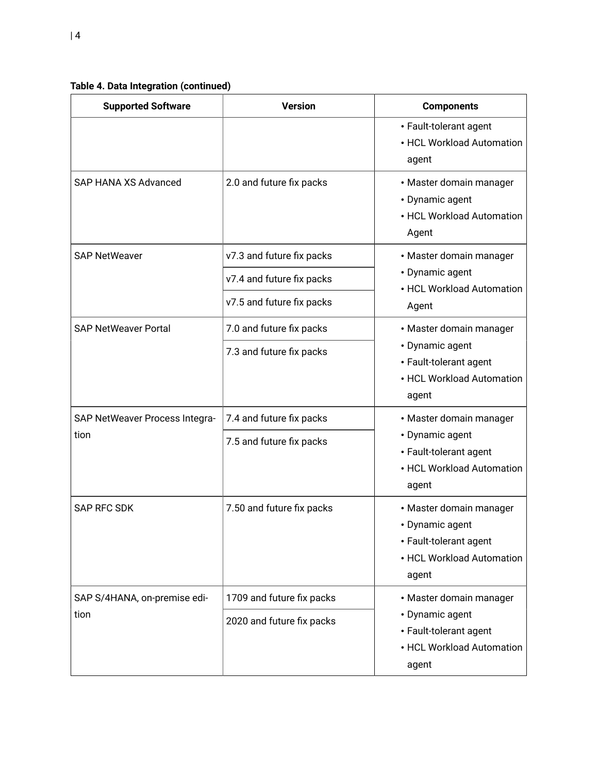**Table 4. Data Integration (continued)**

| <b>Supported Software</b>            | <b>Version</b>            | <b>Components</b>                                                                                          |
|--------------------------------------|---------------------------|------------------------------------------------------------------------------------------------------------|
|                                      |                           | • Fault-tolerant agent<br>• HCL Workload Automation<br>agent                                               |
| SAP HANA XS Advanced                 | 2.0 and future fix packs  | • Master domain manager<br>• Dynamic agent<br>• HCL Workload Automation<br>Agent                           |
| <b>SAP NetWeaver</b>                 | v7.3 and future fix packs | • Master domain manager                                                                                    |
|                                      | v7.4 and future fix packs | • Dynamic agent<br>• HCL Workload Automation                                                               |
|                                      | v7.5 and future fix packs | Agent                                                                                                      |
| <b>SAP NetWeaver Portal</b>          | 7.0 and future fix packs  | • Master domain manager                                                                                    |
|                                      | 7.3 and future fix packs  | • Dynamic agent<br>• Fault-tolerant agent<br>• HCL Workload Automation<br>agent                            |
| SAP NetWeaver Process Integra-       | 7.4 and future fix packs  | • Master domain manager                                                                                    |
| tion                                 | 7.5 and future fix packs  | • Dynamic agent<br>• Fault-tolerant agent<br>• HCL Workload Automation<br>agent                            |
| <b>SAP RFC SDK</b>                   | 7.50 and future fix packs | • Master domain manager<br>• Dynamic agent<br>• Fault-tolerant agent<br>• HCL Workload Automation<br>agent |
| SAP S/4HANA, on-premise edi-<br>tion | 1709 and future fix packs | • Master domain manager<br>• Dynamic agent<br>• Fault-tolerant agent<br>• HCL Workload Automation<br>agent |
|                                      | 2020 and future fix packs |                                                                                                            |